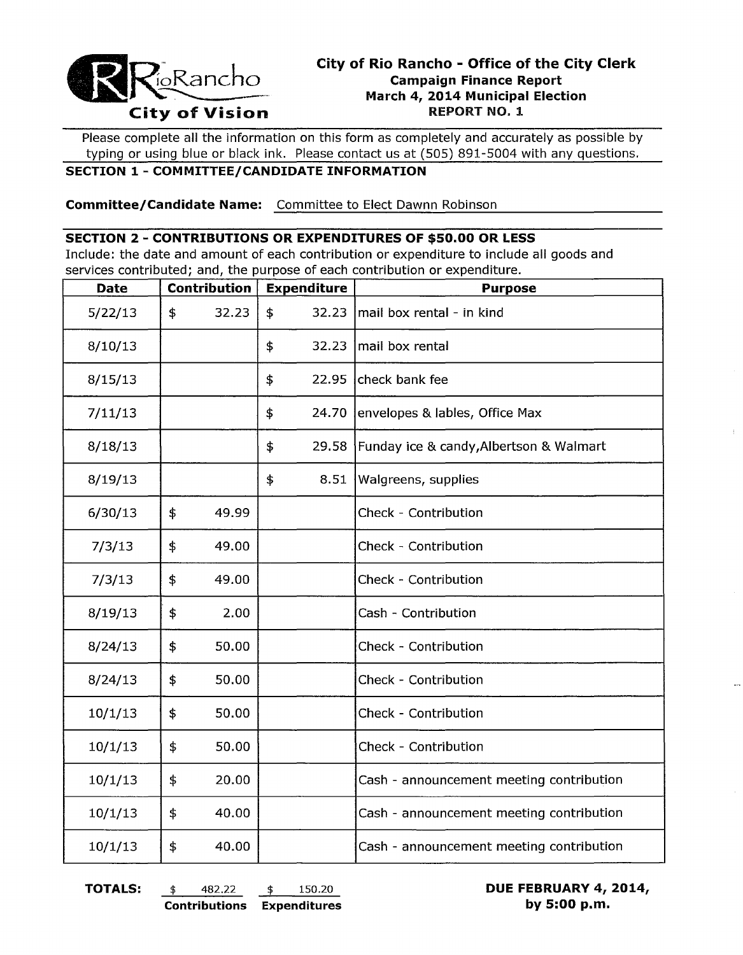

# **City of Rio Rancho - Office of the City Clerk Campaign Finance Report City of Rio Rancho - Office of the City City City City Compaign Finance Report<br>
City of Vision REPORT NO. 1**

Please complete all the information on this form as completely and accurately as possible by typing or using blue or black ink. Please contact us at (505) 891-5004 with any questions.

# **SECTION 1 - COMMITTEE/CANDIDATE INFORMATION**

**Committee/Candidate Name:** Committee to Elect Dawnn Robinson

#### **SECTION 2 - CONTRIBUTIONS OR EXPENDITURES OF \$50.00 OR LESS**

Include: the date and amount of each contribution or expenditure to include all goods and services contributed; and, the purpose of each contribution or expenditure.

| <b>Date</b> | Contribution |       | <b>Expenditure</b> |       | <b>Purpose</b>                           |  |
|-------------|--------------|-------|--------------------|-------|------------------------------------------|--|
| 5/22/13     | \$           | 32.23 | \$                 | 32.23 | mail box rental - in kind                |  |
| 8/10/13     |              |       | \$                 | 32.23 | mail box rental                          |  |
| 8/15/13     |              |       | \$                 | 22.95 | Icheck bank fee                          |  |
| 7/11/13     |              |       | \$                 | 24.70 | envelopes & lables, Office Max           |  |
| 8/18/13     |              |       | \$                 | 29.58 | Funday ice & candy, Albertson & Walmart  |  |
| 8/19/13     |              |       | \$                 | 8.51  | Walgreens, supplies                      |  |
| 6/30/13     | \$           | 49.99 |                    |       | Check - Contribution                     |  |
| 7/3/13      | \$           | 49.00 |                    |       | Check - Contribution                     |  |
| 7/3/13      | \$           | 49.00 |                    |       | Check - Contribution                     |  |
| 8/19/13     | \$           | 2.00  |                    |       | Cash - Contribution                      |  |
| 8/24/13     | \$           | 50.00 |                    |       | Check - Contribution                     |  |
| 8/24/13     | \$           | 50.00 |                    |       | Check - Contribution                     |  |
| 10/1/13     | \$           | 50.00 |                    |       | Check - Contribution                     |  |
| 10/1/13     | \$           | 50.00 |                    |       | Check - Contribution                     |  |
| 10/1/13     | \$           | 20.00 |                    |       | Cash - announcement meeting contribution |  |
| 10/1/13     | \$           | 40.00 |                    |       | Cash - announcement meeting contribution |  |
| 10/1/13     | \$           | 40.00 |                    |       | Cash - announcement meeting contribution |  |

**TOTALS:** \$ 482.22 \$ 150.20 **DUE FEBRUARY 4, 2014, Contributions Expenditures by 5:00 p.m.**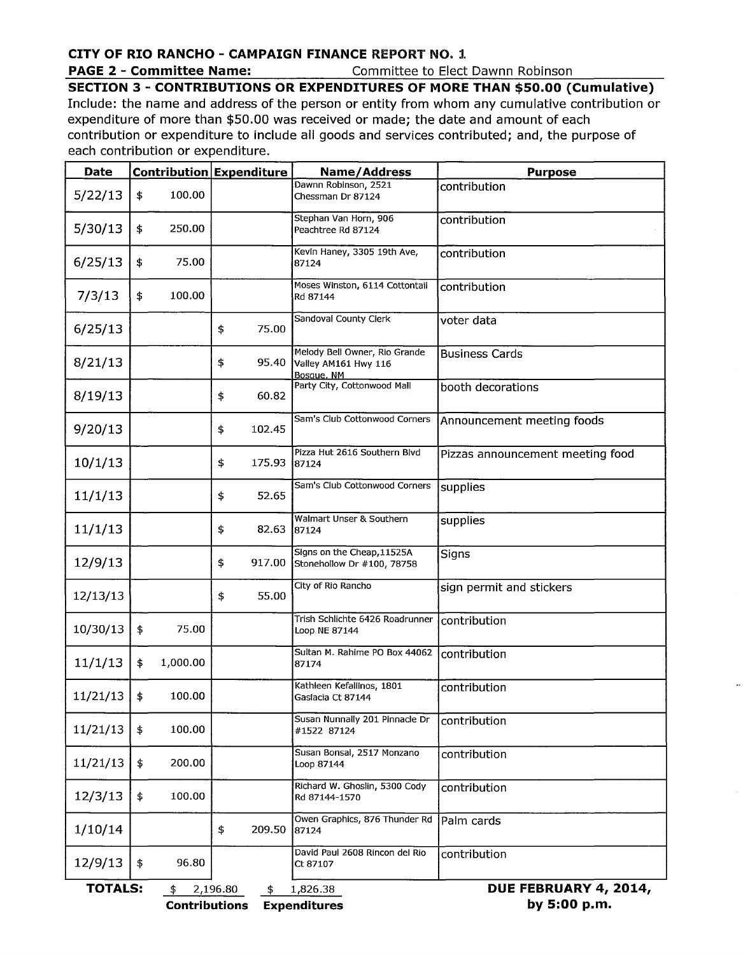# **CITY OF RIO RANCHO - CAMPAIGN FINANCE** REPORT NO.1

**PAGE 2 - Committee Name:** Committee to Elect Dawnn Robinson

## **SECTION 3 - CONTRIBUTIONS OR EXPENDITURES OF MORE THAN \$50.00 (Cumulative)**

Include: the name and address of the person or entity from whom any cumulative contribution or expenditure of more than \$50.00 was received or made; the date and amount of each contribution or expenditure to include all goods and services contributed; and, the purpose of each contribution or expenditure.

| <b>Date</b>    | Contribution Expenditure |          |                | Name/Address                                                        | <b>Purpose</b>                   |
|----------------|--------------------------|----------|----------------|---------------------------------------------------------------------|----------------------------------|
| 5/22/13        | \$                       | 100.00   |                | Dawnn Robinson, 2521<br>Chessman Dr 87124                           | contribution                     |
| 5/30/13        | \$                       | 250.00   |                | Stephan Van Horn, 906<br>Peachtree Rd 87124                         | contribution                     |
| 6/25/13        | \$                       | 75.00    |                | Kevin Haney, 3305 19th Ave,<br>87124                                | contribution                     |
| 7/3/13         | \$                       | 100.00   |                | Moses Winston, 6114 Cottontail<br>Rd 87144                          | contribution                     |
| 6/25/13        |                          |          | 75.00<br>\$    | Sandoval County Clerk                                               | voter data                       |
| 8/21/13        |                          |          | \$<br>95.40    | Melody Bell Owner, Rio Grande<br>Valley AM161 Hwy 116<br>Bosque, NM | <b>Business Cards</b>            |
| 8/19/13        |                          |          | 60.82<br>\$    | Party City, Cottonwood Mall                                         | booth decorations                |
| 9/20/13        |                          |          | \$<br>102.45   | Sam's Club Cottonwood Corners                                       | Announcement meeting foods       |
| 10/1/13        |                          |          | \$<br>175.93   | Pizza Hut 2616 Southern Blvd<br>87124                               | Pizzas announcement meeting food |
| 11/1/13        |                          |          | 52.65<br>\$    | Sam's Club Cottonwood Corners                                       | supplies                         |
| 11/1/13        |                          |          | 82.63<br>\$    | Walmart Unser & Southern<br>87124                                   | supplies                         |
| 12/9/13        |                          |          | \$<br>917.00   | Signs on the Cheap, 11525A<br>Stonehollow Dr #100, 78758            | Signs                            |
| 12/13/13       |                          |          | 55.00<br>\$    | City of Rio Rancho                                                  | sign permit and stickers         |
| 10/30/13       | $\ddagger$               | 75.00    |                | Trish Schlichte 6426 Roadrunner<br>Loop NE 87144                    | contribution                     |
| 11/1/13        | \$                       | 1,000.00 |                | Sultan M. Rahime PO Box 44062<br>87174                              | contribution                     |
| 11/21/13       | \$                       | 100.00   |                | Kathleen Kefallinos, 1801<br>Gaslacia Ct 87144                      | contribution                     |
| 11/21/13       | \$                       | 100.00   |                | Susan Nunnally 201 Pinnacle Dr<br>#1522 87124                       | contribution                     |
| 11/21/13       | \$                       | 200.00   |                | Susan Bonsal, 2517 Monzano<br>Loop 87144                            | contribution                     |
| 12/3/13        | \$                       | 100.00   |                | Richard W. Ghoslin, 5300 Cody<br>Rd 87144-1570                      | contribution                     |
| 1/10/14        |                          |          | 209.50<br>\$   | Owen Graphics, 876 Thunder Rd<br>87124                              | Palm cards                       |
| 12/9/13        | \$                       | 96.80    |                | David Paul 2608 Rincon del Rio<br>Ct 87107                          | contribution                     |
| <b>TOTALS:</b> |                          | \$       | 2,196.80<br>\$ | 1,826.38                                                            | DUE FEBRUARY 4, 2014,            |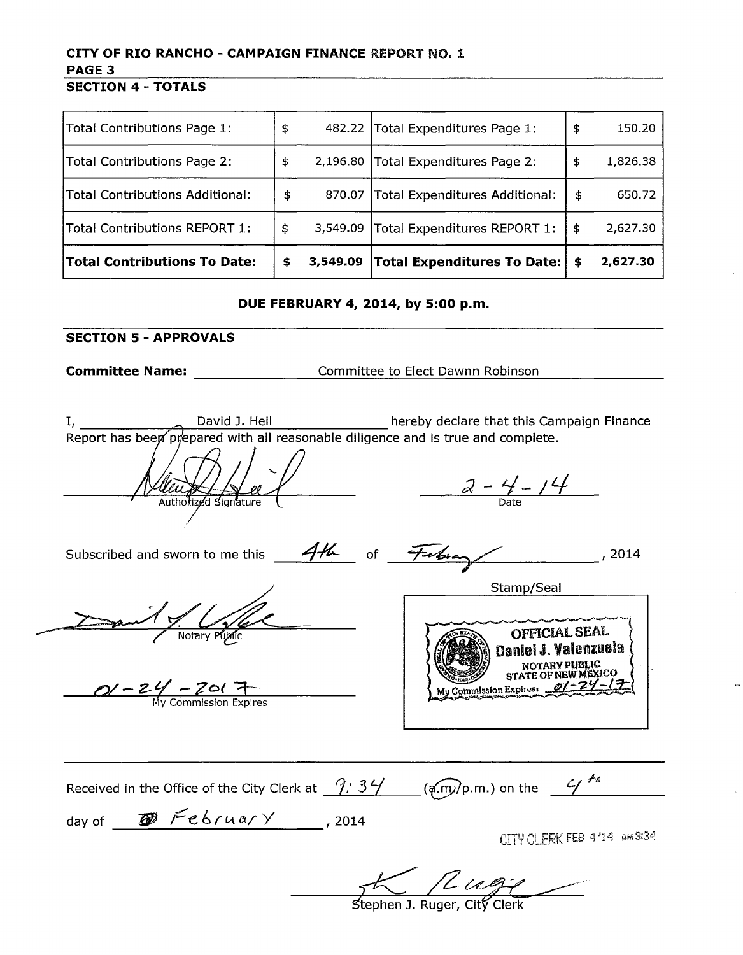#### **CITY OF RIO RANCHO - CAMPAIGN FINANCE** REPORT NO.1 **PAGE 3 SECTION 4 - TOTALS**

| Total Contributions Page 1:            | \$             | 482.22 Total Expenditures Page 1: | \$<br>150.20   |
|----------------------------------------|----------------|-----------------------------------|----------------|
| Total Contributions Page 2:            | \$<br>2,196.80 | Total Expenditures Page 2:        | \$<br>1,826.38 |
| <b>Total Contributions Additional:</b> | \$<br>870.07   | Total Expenditures Additional:    | \$<br>650.72   |
| Total Contributions REPORT 1:          | \$<br>3,549.09 | Total Expenditures REPORT 1:      | \$<br>2,627.30 |
| <b>Total Contributions To Date:</b>    | \$<br>3,549.09 | Total Expenditures To Date:       | \$<br>2,627.30 |

#### **DUE FEBRUARY 4, 2014, by 5:00 p.m.**

## **SECTION 5 - APPROVALS**

**Committee Name:** \_\_\_\_\_\_\_\_\_\_\_\_\_\_\_\_\_\_Committee to Elect Dawnn Robinson \_\_\_\_\_\_\_\_\_\_\_\_\_\_\_\_

David J. Heil pr⁄epared with all reasonable diligenc hereby declare that this Campaign Finance e and is true and complete.

Authorized Signature /

 $\frac{2-4-14}{\text{Date}}$ 

Subscribed and sworn to me this of \_ ~./ ~ ....<../\_-------"'-9'7--i~~------' 2014

 $\frac{Q}{M}$  -  $\frac{Z}{M}$  -  $\frac{Z}{Q}$  +



Received in the Office of the City Clerk at  $\frac{9.34}{1.53}$  ( $\frac{2.54}{1.53}$ ) on the  $\frac{4}{1.53}$ day of  $\overline{\bullet}$  February , 2014

CITY CLERK FEB 4/14 AM 9/34

Stephen J. Ruger, City Clerk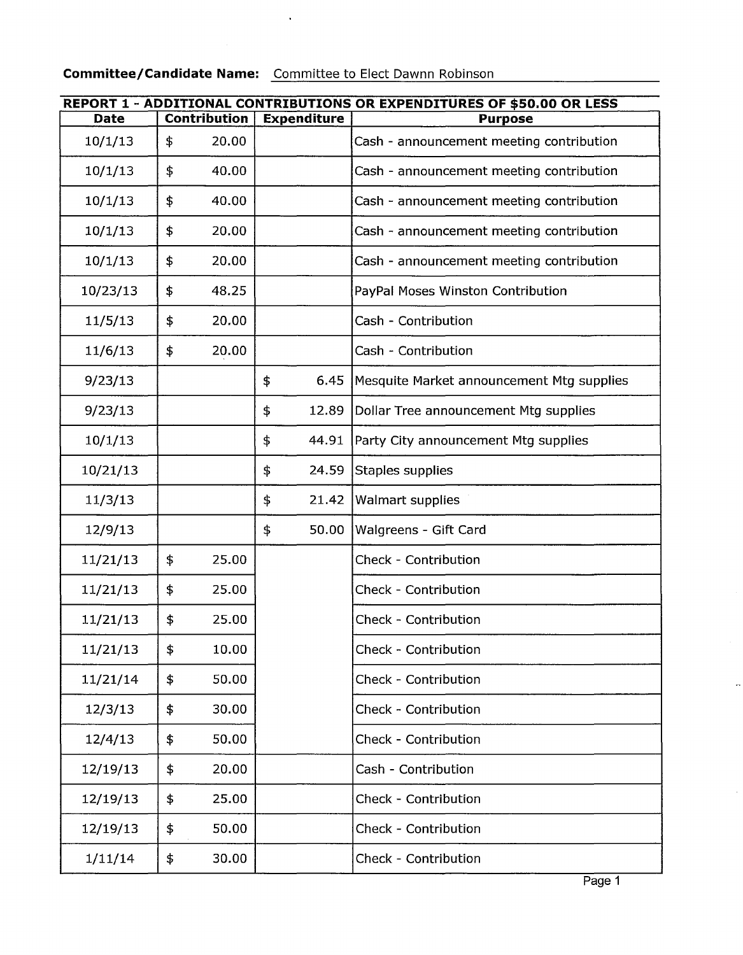# **Committee/Candidate Name:** Committee to Elect Dawnn Robinson

 $\sim$   $\sim$ 

| REPORT 1 - ADDITIONAL CONTRIBUTIONS OR EXPENDITURES OF \$50.00 OR LESS |    |                     |                    |       |                                           |  |  |
|------------------------------------------------------------------------|----|---------------------|--------------------|-------|-------------------------------------------|--|--|
| <b>Date</b>                                                            |    | <b>Contribution</b> | <b>Expenditure</b> |       | <b>Purpose</b>                            |  |  |
| 10/1/13                                                                | \$ | 20.00               |                    |       | Cash - announcement meeting contribution  |  |  |
| 10/1/13                                                                | \$ | 40.00               |                    |       | Cash - announcement meeting contribution  |  |  |
| 10/1/13                                                                | \$ | 40.00               |                    |       | Cash - announcement meeting contribution  |  |  |
| 10/1/13                                                                | \$ | 20.00               |                    |       | Cash - announcement meeting contribution  |  |  |
| 10/1/13                                                                | \$ | 20.00               |                    |       | Cash - announcement meeting contribution  |  |  |
| 10/23/13                                                               | \$ | 48.25               |                    |       | PayPal Moses Winston Contribution         |  |  |
| 11/5/13                                                                | \$ | 20.00               |                    |       | Cash - Contribution                       |  |  |
| 11/6/13                                                                | \$ | 20.00               |                    |       | Cash - Contribution                       |  |  |
| 9/23/13                                                                |    |                     | \$                 | 6.45  | Mesquite Market announcement Mtg supplies |  |  |
| 9/23/13                                                                |    |                     | \$                 | 12.89 | Dollar Tree announcement Mtg supplies     |  |  |
| 10/1/13                                                                |    |                     | \$                 | 44.91 | Party City announcement Mtg supplies      |  |  |
| 10/21/13                                                               |    |                     | \$                 | 24.59 | Staples supplies                          |  |  |
| 11/3/13                                                                |    |                     | \$                 | 21.42 | <b>Walmart supplies</b>                   |  |  |
| 12/9/13                                                                |    |                     | \$                 | 50.00 | Walgreens - Gift Card                     |  |  |
| 11/21/13                                                               | \$ | 25.00               |                    |       | Check - Contribution                      |  |  |
| 11/21/13                                                               | \$ | 25.00               |                    |       | <b>Check - Contribution</b>               |  |  |
| 11/21/13                                                               | \$ | 25.00               |                    |       | <b>Check - Contribution</b>               |  |  |
| 11/21/13                                                               | \$ | 10.00               |                    |       | Check - Contribution                      |  |  |
| 11/21/14                                                               | \$ | 50.00               |                    |       | Check - Contribution                      |  |  |
| 12/3/13                                                                | \$ | 30.00               |                    |       | Check - Contribution                      |  |  |
| 12/4/13                                                                | \$ | 50.00               |                    |       | <b>Check - Contribution</b>               |  |  |
| 12/19/13                                                               | \$ | 20.00               |                    |       | Cash - Contribution                       |  |  |
| 12/19/13                                                               | \$ | 25.00               |                    |       | Check - Contribution                      |  |  |
| 12/19/13                                                               | \$ | 50.00               |                    |       | Check - Contribution                      |  |  |
| 1/11/14                                                                | \$ | 30.00               |                    |       | Check - Contribution                      |  |  |

ä,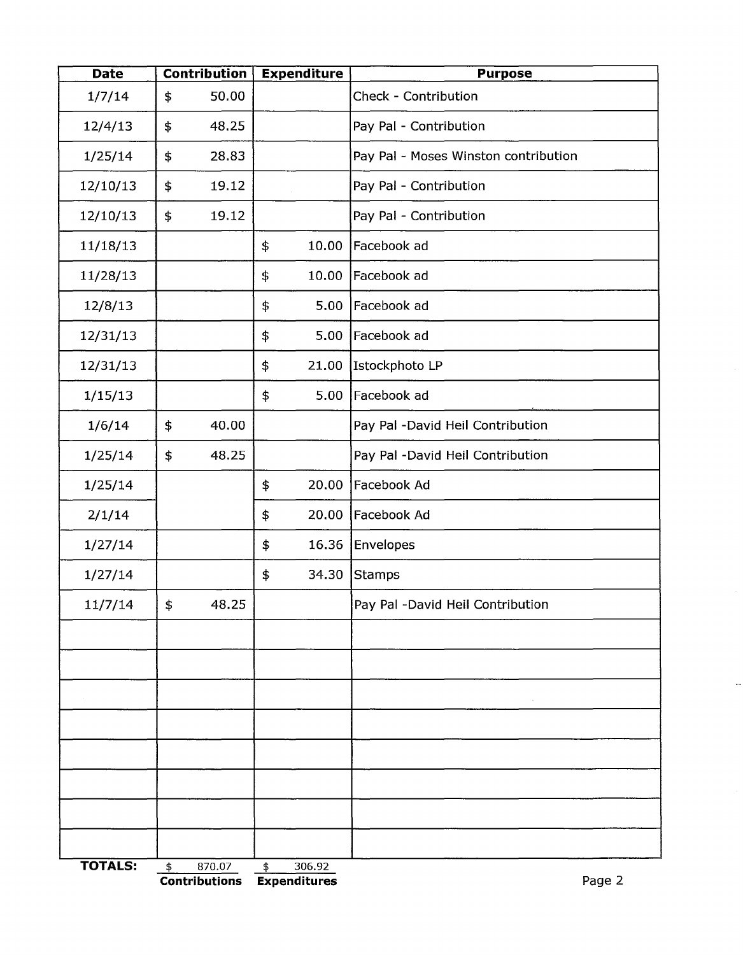| <b>Date</b>    |               | <b>Contribution</b> | <b>Expenditure</b> |        | <b>Purpose</b>                       |  |  |
|----------------|---------------|---------------------|--------------------|--------|--------------------------------------|--|--|
| 1/7/14         | \$            | 50.00               |                    |        | Check - Contribution                 |  |  |
| 12/4/13        | \$            | 48.25               |                    |        | Pay Pal - Contribution               |  |  |
| 1/25/14        | \$            | 28.83               |                    |        | Pay Pal - Moses Winston contribution |  |  |
| 12/10/13       | \$            | 19.12               |                    |        | Pay Pal - Contribution               |  |  |
| 12/10/13       | \$            | 19.12               |                    |        | Pay Pal - Contribution               |  |  |
| 11/18/13       |               |                     | \$                 | 10.00  | Facebook ad                          |  |  |
| 11/28/13       |               |                     | \$                 | 10.00  | Facebook ad                          |  |  |
| 12/8/13        |               |                     | \$                 | 5.00   | Facebook ad                          |  |  |
| 12/31/13       |               |                     | \$                 | 5.00   | Facebook ad                          |  |  |
| 12/31/13       |               |                     | \$                 | 21.00  | Istockphoto LP                       |  |  |
| 1/15/13        |               |                     | \$                 | 5.00   | Facebook ad                          |  |  |
| 1/6/14         | \$            | 40.00               |                    |        | Pay Pal -David Heil Contribution     |  |  |
| 1/25/14        | \$            | 48.25               |                    |        | Pay Pal -David Heil Contribution     |  |  |
| 1/25/14        |               |                     | \$                 | 20.00  | Facebook Ad                          |  |  |
| 2/1/14         |               |                     | \$                 | 20.00  | Facebook Ad                          |  |  |
| 1/27/14        |               |                     | \$                 | 16.36  | <b>Envelopes</b>                     |  |  |
| 1/27/14        |               |                     | \$                 | 34.30  | Stamps                               |  |  |
| 11/7/14        | \$            | 48.25               |                    |        | Pay Pal -David Heil Contribution     |  |  |
|                |               |                     |                    |        |                                      |  |  |
|                |               |                     |                    |        |                                      |  |  |
|                |               |                     |                    |        |                                      |  |  |
|                |               |                     |                    |        |                                      |  |  |
|                |               |                     |                    |        |                                      |  |  |
|                |               |                     |                    |        |                                      |  |  |
|                |               |                     |                    |        |                                      |  |  |
|                |               |                     |                    |        |                                      |  |  |
| <b>TOTALS:</b> | $\frac{4}{5}$ | 870.07              | \$                 | 306.92 |                                      |  |  |

 $\overline{\phantom{a}}$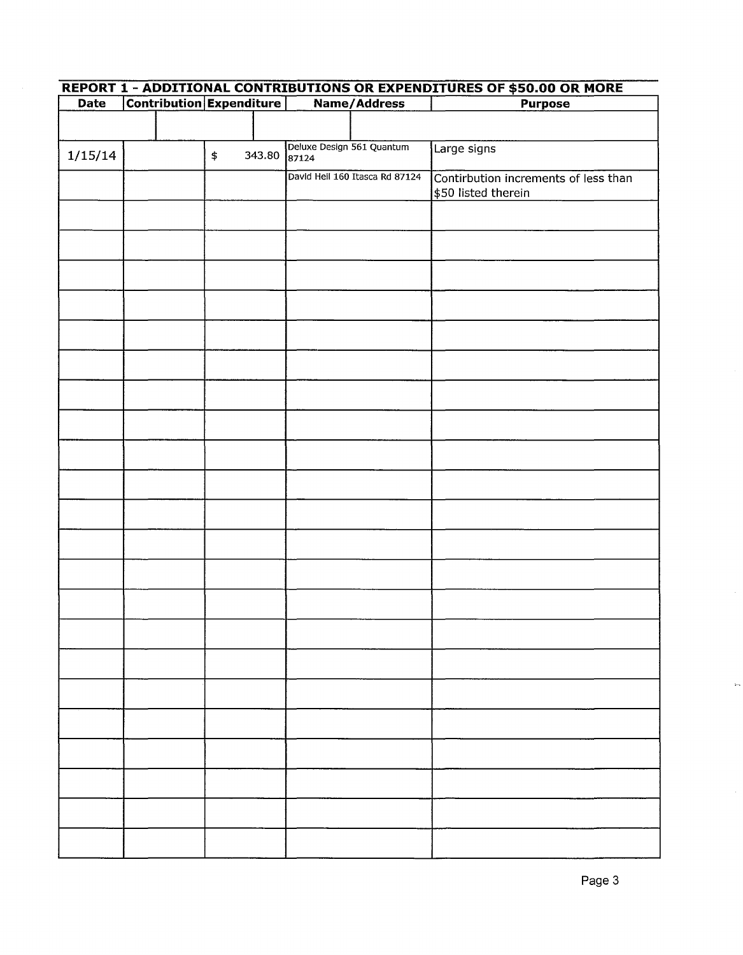| <b>Date</b> |  | <b>Contribution Expenditure</b> |        | Name/Address                       |                                | <b>Purpose</b>                                              |  |
|-------------|--|---------------------------------|--------|------------------------------------|--------------------------------|-------------------------------------------------------------|--|
|             |  |                                 |        |                                    |                                |                                                             |  |
| 1/15/14     |  | \$                              | 343.80 | Deluxe Design 561 Quantum<br>87124 |                                | Large signs                                                 |  |
|             |  |                                 |        |                                    | David Heil 160 Itasca Rd 87124 | Contirbution increments of less than<br>\$50 listed therein |  |
|             |  |                                 |        |                                    |                                |                                                             |  |
|             |  |                                 |        |                                    |                                |                                                             |  |
|             |  |                                 |        |                                    |                                |                                                             |  |
|             |  |                                 |        |                                    |                                |                                                             |  |
|             |  |                                 |        |                                    |                                |                                                             |  |
|             |  |                                 |        |                                    |                                |                                                             |  |
|             |  |                                 |        |                                    |                                |                                                             |  |
|             |  |                                 |        |                                    |                                |                                                             |  |
|             |  |                                 |        |                                    |                                |                                                             |  |
|             |  |                                 |        |                                    |                                |                                                             |  |
|             |  |                                 |        |                                    |                                |                                                             |  |
|             |  |                                 |        |                                    |                                |                                                             |  |
|             |  |                                 |        |                                    |                                |                                                             |  |
|             |  |                                 |        |                                    |                                |                                                             |  |
|             |  |                                 |        |                                    |                                |                                                             |  |
|             |  |                                 |        |                                    |                                |                                                             |  |
|             |  |                                 |        |                                    |                                |                                                             |  |
|             |  |                                 |        |                                    |                                |                                                             |  |
|             |  |                                 |        |                                    |                                |                                                             |  |
|             |  |                                 |        |                                    |                                |                                                             |  |
|             |  |                                 |        |                                    |                                |                                                             |  |
|             |  |                                 |        |                                    |                                |                                                             |  |

## **REPORT 1 - ADDITIONAL CONTRIBUTIONS OR EXPENDITURES OF \$50.00 OR MORE**

 $\overline{a}$